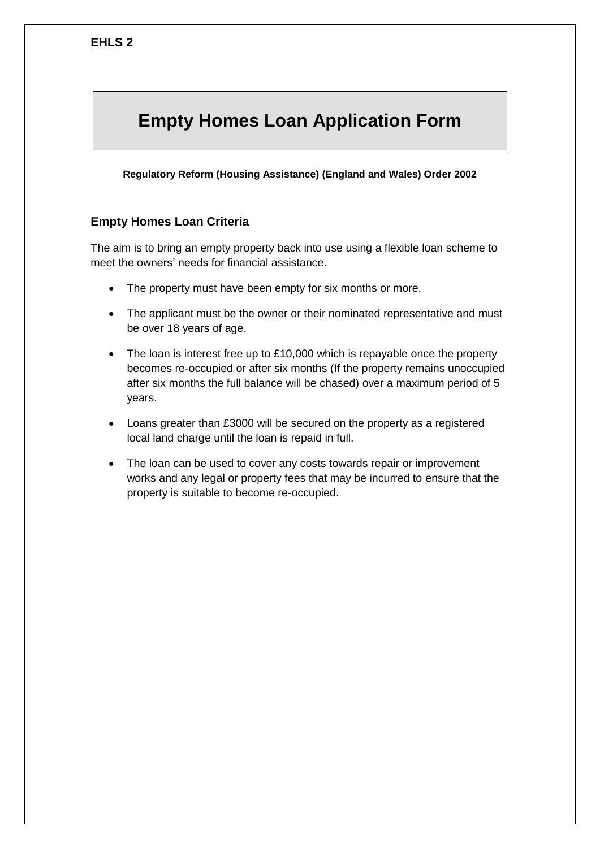# **Empty Homes Loan Application Form**

**Regulatory Reform (Housing Assistance) (England and Wales) Order 2002**

#### **Empty Homes Loan Criteria**

The aim is to bring an empty property back into use using a flexible loan scheme to meet the owners' needs for financial assistance.

- The property must have been empty for six months or more.
- The applicant must be the owner or their nominated representative and must be over 18 years of age.
- The loan is interest free up to £10,000 which is repayable once the property becomes re-occupied or after six months (If the property remains unoccupied after six months the full balance will be chased) over a maximum period of 5 years.
- Loans greater than £3000 will be secured on the property as a registered local land charge until the loan is repaid in full.
- The loan can be used to cover any costs towards repair or improvement works and any legal or property fees that may be incurred to ensure that the property is suitable to become re-occupied.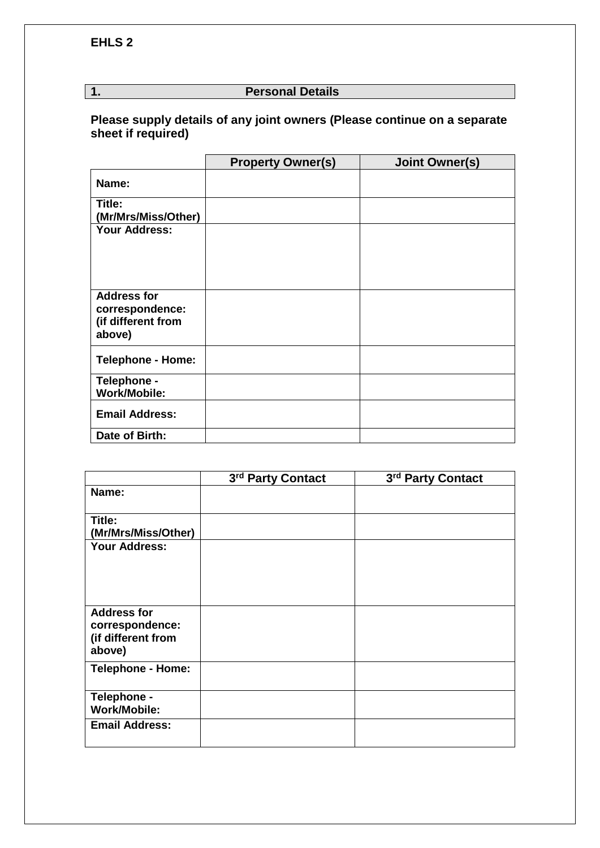# **1. Personal Details**

## **Please supply details of any joint owners (Please continue on a separate sheet if required)**

|                                                                       | <b>Property Owner(s)</b> | <b>Joint Owner(s)</b> |
|-----------------------------------------------------------------------|--------------------------|-----------------------|
| Name:                                                                 |                          |                       |
| Title:<br>(Mr/Mrs/Miss/Other)                                         |                          |                       |
| <b>Your Address:</b>                                                  |                          |                       |
| <b>Address for</b><br>correspondence:<br>(if different from<br>above) |                          |                       |
| <b>Telephone - Home:</b>                                              |                          |                       |
| Telephone -<br><b>Work/Mobile:</b>                                    |                          |                       |
| <b>Email Address:</b>                                                 |                          |                       |
| Date of Birth:                                                        |                          |                       |

|                                                                       | 3rd Party Contact | 3rd Party Contact |
|-----------------------------------------------------------------------|-------------------|-------------------|
| Name:                                                                 |                   |                   |
| Title:<br>(Mr/Mrs/Miss/Other)                                         |                   |                   |
| <b>Your Address:</b>                                                  |                   |                   |
| <b>Address for</b><br>correspondence:<br>(if different from<br>above) |                   |                   |
| <b>Telephone - Home:</b>                                              |                   |                   |
| Telephone -<br><b>Work/Mobile:</b>                                    |                   |                   |
| <b>Email Address:</b>                                                 |                   |                   |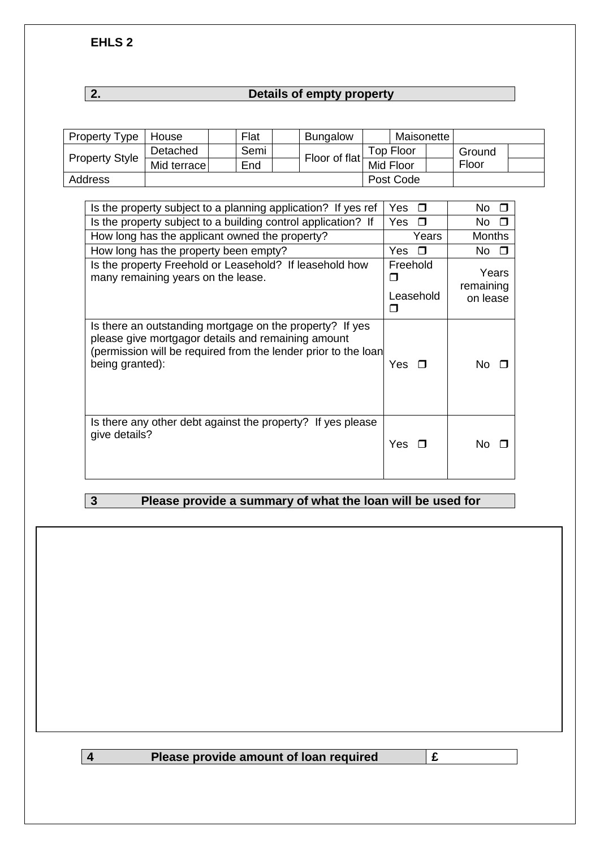**EHLS 2**

# **2. Details of empty property**

| <b>Property Type</b>  | House       | Flat | <b>Bungalow</b> |           | Maisonette |        |  |
|-----------------------|-------------|------|-----------------|-----------|------------|--------|--|
|                       | Detached    | Semi | Floor of flat   |           | Top Floor  | Ground |  |
| <b>Property Style</b> | Mid terrace | End  |                 | Mid Floor |            | Floor  |  |
| Address               |             |      |                 |           | Post Code  |        |  |

| Is the property subject to a planning application? If yes ref                                                                                                                                       | Yes<br>$\Box$                   | No<br>$\Box$                   |
|-----------------------------------------------------------------------------------------------------------------------------------------------------------------------------------------------------|---------------------------------|--------------------------------|
| Is the property subject to a building control application? If                                                                                                                                       | Yes<br>$\Box$                   | No                             |
| How long has the applicant owned the property?                                                                                                                                                      | Years                           | <b>Months</b>                  |
| How long has the property been empty?                                                                                                                                                               | Yes □                           | No l<br>П                      |
| Is the property Freehold or Leasehold? If leasehold how<br>many remaining years on the lease.                                                                                                       | Freehold<br>П<br>Leasehold<br>П | Years<br>remaining<br>on lease |
| Is there an outstanding mortgage on the property? If yes<br>please give mortgagor details and remaining amount<br>(permission will be required from the lender prior to the loan<br>being granted): | Yes.                            | N٥                             |
| Is there any other debt against the property? If yes please<br>give details?                                                                                                                        | Yes.                            | Nο                             |

# **3 Please provide a summary of what the loan will be used for**

**4 Please provide amount of loan required £**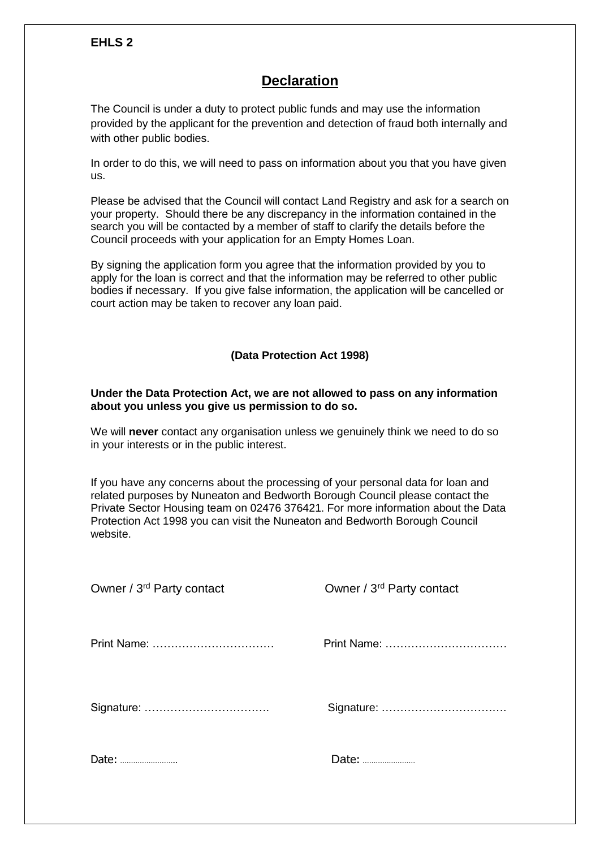# **Declaration**

The Council is under a duty to protect public funds and may use the information provided by the applicant for the prevention and detection of fraud both internally and with other public bodies.

In order to do this, we will need to pass on information about you that you have given us.

Please be advised that the Council will contact Land Registry and ask for a search on your property. Should there be any discrepancy in the information contained in the search you will be contacted by a member of staff to clarify the details before the Council proceeds with your application for an Empty Homes Loan.

By signing the application form you agree that the information provided by you to apply for the loan is correct and that the information may be referred to other public bodies if necessary. If you give false information, the application will be cancelled or court action may be taken to recover any loan paid.

### **(Data Protection Act 1998)**

#### **Under the Data Protection Act, we are not allowed to pass on any information about you unless you give us permission to do so.**

We will **never** contact any organisation unless we genuinely think we need to do so in your interests or in the public interest.

If you have any concerns about the processing of your personal data for loan and related purposes by Nuneaton and Bedworth Borough Council please contact the Private Sector Housing team on 02476 376421. For more information about the Data Protection Act 1998 you can visit the Nuneaton and Bedworth Borough Council website.

| Owner / 3 <sup>rd</sup> Party contact | Owner / 3rd Party contact |
|---------------------------------------|---------------------------|
|                                       | Print Name:               |
|                                       |                           |
| Date:                                 | Date:                     |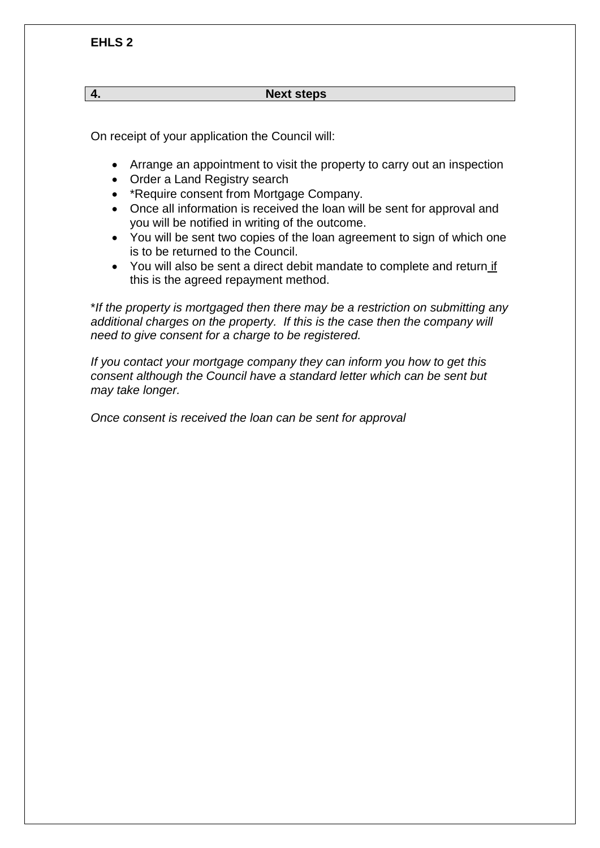#### **4. Next steps**

On receipt of your application the Council will:

- Arrange an appointment to visit the property to carry out an inspection
- Order a Land Registry search
- \*Require consent from Mortgage Company.
- Once all information is received the loan will be sent for approval and you will be notified in writing of the outcome.
- You will be sent two copies of the loan agreement to sign of which one is to be returned to the Council.
- You will also be sent a direct debit mandate to complete and return if this is the agreed repayment method.

\**If the property is mortgaged then there may be a restriction on submitting any additional charges on the property. If this is the case then the company will need to give consent for a charge to be registered.*

*If you contact your mortgage company they can inform you how to get this consent although the Council have a standard letter which can be sent but may take longer.*

*Once consent is received the loan can be sent for approval*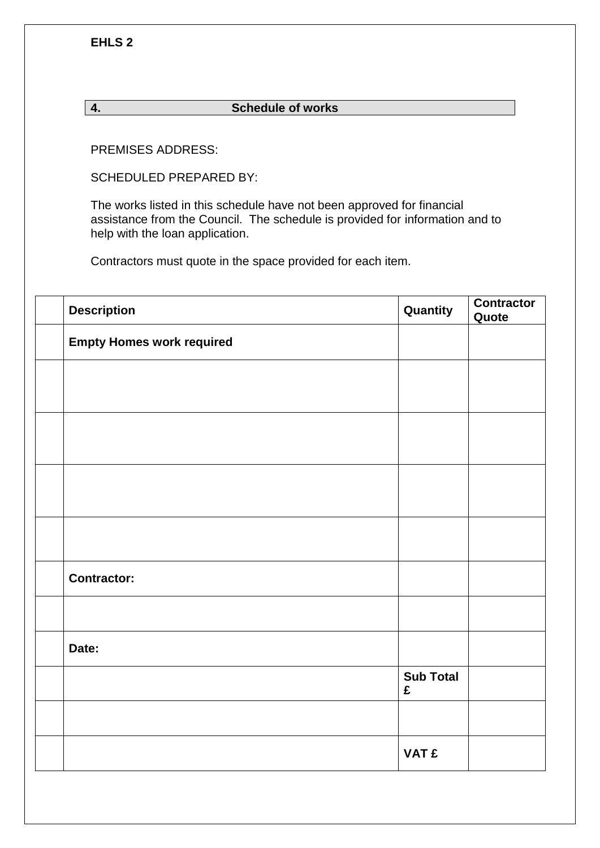**EHLS 2**

### **4. Schedule of works**

PREMISES ADDRESS:

SCHEDULED PREPARED BY:

The works listed in this schedule have not been approved for financial assistance from the Council. The schedule is provided for information and to help with the loan application.

Contractors must quote in the space provided for each item.

| <b>Description</b>               | Quantity              | <b>Contractor</b><br>Quote |
|----------------------------------|-----------------------|----------------------------|
| <b>Empty Homes work required</b> |                       |                            |
|                                  |                       |                            |
|                                  |                       |                            |
|                                  |                       |                            |
|                                  |                       |                            |
|                                  |                       |                            |
|                                  |                       |                            |
|                                  |                       |                            |
| <b>Contractor:</b>               |                       |                            |
|                                  |                       |                            |
| Date:                            |                       |                            |
|                                  | <b>Sub Total</b><br>£ |                            |
|                                  |                       |                            |
|                                  | <b>VAT £</b>          |                            |